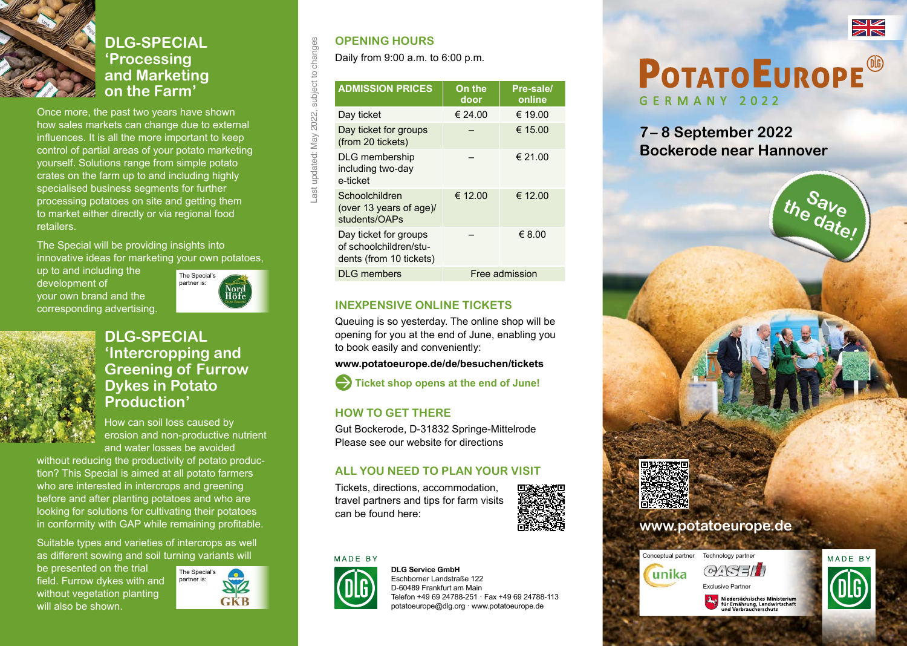

#### **DLG-SPECIAL 'Processing and Marketing on the Farm'**

Once more, the past two years have shown how sales markets can change due to external influences. It is all the more important to keep control of partial areas of your potato marketing yourself. Solutions range from simple potato crates on the farm up to and including highly specialised business segments for further processing potatoes on site and getting them to market either directly or via regional food retailers.

The Special will be providing insights into innovative ideas for marketing your own potatoes,

up to and including the development of your own brand and the corresponding advertising.





#### **DLG-SPECIAL 'Intercropping and Greening of Furrow Dykes in Potato Production'**

How can soil loss caused by erosion and non-productive nutrient and water losses be avoided

without reducing the productivity of potato production? This Special is aimed at all potato farmers who are interested in intercrops and greening before and after planting potatoes and who are looking for solutions for cultivating their potatoes in conformity with GAP while remaining profitable.

Suitable types and varieties of intercrops as well as different sowing and soil turning variants will

be presented on the trial field. Furrow dykes with and without vegetation planting will also be shown.



#### **OPENING HOURS**

Last updated: May 2022, subject to changes

Last updated: May 2022,

subject to

changes

Daily from 9:00 a.m. to 6:00 p.m.

| <b>ADMISSION PRICES</b>                                                    | On the<br>door | Pre-sale/<br>online |
|----------------------------------------------------------------------------|----------------|---------------------|
| Day ticket                                                                 | € 24.00        | € 19.00             |
| Day ticket for groups<br>(from 20 tickets)                                 |                | € 15.00             |
| <b>DLG</b> membership<br>including two-day<br>e-ticket                     |                | € 21.00             |
| Schoolchildren<br>(over 13 years of age)/<br>students/OAPs                 | € 12.00        | € 12.00             |
| Day ticket for groups<br>of schoolchildren/stu-<br>dents (from 10 tickets) |                | € 8.00              |
| <b>DLG</b> members                                                         | Free admission |                     |
|                                                                            |                |                     |

#### **INEXPENSIVE ONLINE TICKETS**

Queuing is so yesterday. The online shop will be opening for you at the end of June, enabling you to book easily and conveniently:

**www.potatoeurope.de/de/besuchen/tickets**



#### **HOW TO GET THERE**

Gut Bockerode, D-31832 Springe-Mittelrode Please see our website for directions

#### **ALL YOU NEED TO PLAN YOUR VISIT**

Tickets, directions, accommodation, travel partners and tips for farm visits can be found here:



#### MADE BY



**DLG Service GmbH** Eschborner Landstraße 122 D-60489 Frankfurt am Main Telefon +49 69 24788-251 · Fax +49 69 24788-113 potatoeurope@dlg.org · www.potatoeurope.de



# **POTATO EUROPE®** GERMANY 2022

**7– 8 September 2022 Bockerode near Hannover**